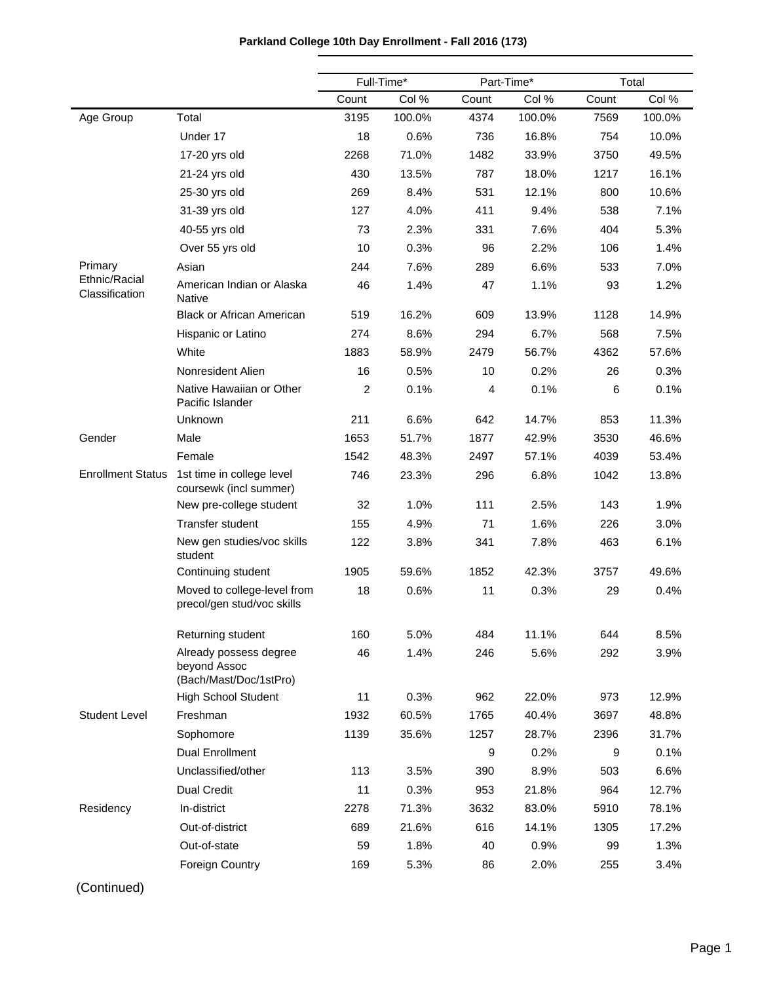|                                 |                                                                  |                | Full-Time* | Part-Time* |        | Total |        |
|---------------------------------|------------------------------------------------------------------|----------------|------------|------------|--------|-------|--------|
|                                 |                                                                  | Count          | Col %      | Count      | Col %  | Count | Col %  |
| Age Group                       | Total                                                            | 3195           | 100.0%     | 4374       | 100.0% | 7569  | 100.0% |
|                                 | Under 17                                                         | 18             | 0.6%       | 736        | 16.8%  | 754   | 10.0%  |
|                                 | 17-20 yrs old                                                    | 2268           | 71.0%      | 1482       | 33.9%  | 3750  | 49.5%  |
|                                 | 21-24 yrs old                                                    | 430            | 13.5%      | 787        | 18.0%  | 1217  | 16.1%  |
|                                 | 25-30 yrs old                                                    | 269            | 8.4%       | 531        | 12.1%  | 800   | 10.6%  |
|                                 | 31-39 yrs old                                                    | 127            | 4.0%       | 411        | 9.4%   | 538   | 7.1%   |
|                                 | 40-55 yrs old                                                    | 73             | 2.3%       | 331        | 7.6%   | 404   | 5.3%   |
|                                 | Over 55 yrs old                                                  | 10             | 0.3%       | 96         | 2.2%   | 106   | 1.4%   |
| Primary                         | Asian                                                            | 244            | 7.6%       | 289        | 6.6%   | 533   | 7.0%   |
| Ethnic/Racial<br>Classification | American Indian or Alaska<br><b>Native</b>                       | 46             | 1.4%       | 47         | 1.1%   | 93    | 1.2%   |
|                                 | <b>Black or African American</b>                                 | 519            | 16.2%      | 609        | 13.9%  | 1128  | 14.9%  |
|                                 | Hispanic or Latino                                               | 274            | 8.6%       | 294        | 6.7%   | 568   | 7.5%   |
|                                 | White                                                            | 1883           | 58.9%      | 2479       | 56.7%  | 4362  | 57.6%  |
|                                 | Nonresident Alien                                                | 16             | 0.5%       | 10         | 0.2%   | 26    | 0.3%   |
|                                 | Native Hawaiian or Other<br>Pacific Islander                     | $\overline{2}$ | 0.1%       | 4          | 0.1%   | 6     | 0.1%   |
|                                 | Unknown                                                          | 211            | 6.6%       | 642        | 14.7%  | 853   | 11.3%  |
| Gender                          | Male                                                             | 1653           | 51.7%      | 1877       | 42.9%  | 3530  | 46.6%  |
|                                 | Female                                                           | 1542           | 48.3%      | 2497       | 57.1%  | 4039  | 53.4%  |
| <b>Enrollment Status</b>        | 1st time in college level<br>coursewk (incl summer)              | 746            | 23.3%      | 296        | 6.8%   | 1042  | 13.8%  |
|                                 | New pre-college student                                          | 32             | 1.0%       | 111        | 2.5%   | 143   | 1.9%   |
|                                 | Transfer student                                                 | 155            | 4.9%       | 71         | 1.6%   | 226   | 3.0%   |
|                                 | New gen studies/voc skills<br>student                            | 122            | 3.8%       | 341        | 7.8%   | 463   | 6.1%   |
|                                 | Continuing student                                               | 1905           | 59.6%      | 1852       | 42.3%  | 3757  | 49.6%  |
|                                 | Moved to college-level from<br>precol/gen stud/voc skills        | 18             | 0.6%       | 11         | 0.3%   | 29    | 0.4%   |
|                                 | Returning student                                                | 160            | 5.0%       | 484        | 11.1%  | 644   | 8.5%   |
|                                 | Already possess degree<br>beyond Assoc<br>(Bach/Mast/Doc/1stPro) | 46             | 1.4%       | 246        | 5.6%   | 292   | 3.9%   |
|                                 | <b>High School Student</b>                                       | 11             | 0.3%       | 962        | 22.0%  | 973   | 12.9%  |
| <b>Student Level</b>            | Freshman                                                         | 1932           | 60.5%      | 1765       | 40.4%  | 3697  | 48.8%  |
|                                 | Sophomore                                                        | 1139           | 35.6%      | 1257       | 28.7%  | 2396  | 31.7%  |
|                                 | <b>Dual Enrollment</b>                                           |                |            | 9          | 0.2%   | 9     | 0.1%   |
|                                 | Unclassified/other                                               | 113            | 3.5%       | 390        | 8.9%   | 503   | 6.6%   |
|                                 | <b>Dual Credit</b>                                               | 11             | 0.3%       | 953        | 21.8%  | 964   | 12.7%  |
| Residency                       | In-district                                                      | 2278           | 71.3%      | 3632       | 83.0%  | 5910  | 78.1%  |
|                                 | Out-of-district                                                  | 689            | 21.6%      | 616        | 14.1%  | 1305  | 17.2%  |
|                                 | Out-of-state                                                     | 59             | 1.8%       | 40         | 0.9%   | 99    | 1.3%   |
|                                 | Foreign Country                                                  | 169            | 5.3%       | 86         | 2.0%   | 255   | 3.4%   |

## **Parkland College 10th Day Enrollment - Fall 2016 (173)**

(Continued)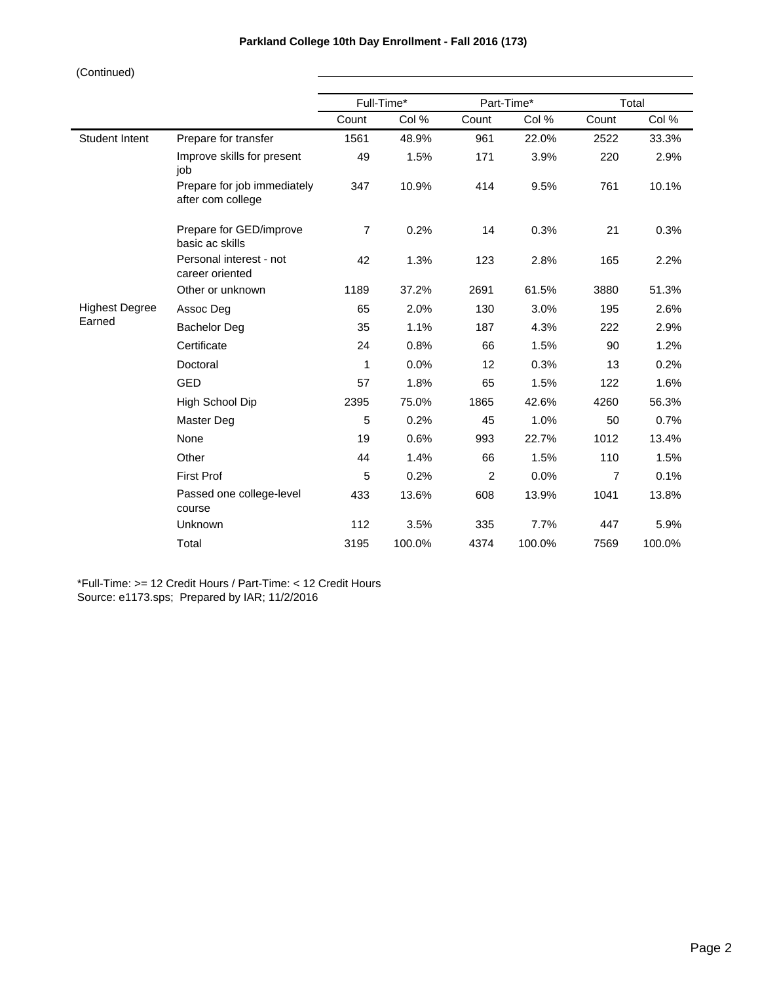|                       |                                                  |       | Full-Time* |       | Part-Time* | Total          |        |
|-----------------------|--------------------------------------------------|-------|------------|-------|------------|----------------|--------|
|                       |                                                  | Count | Col %      | Count | Col %      | Count          | Col %  |
| Student Intent        | Prepare for transfer                             | 1561  | 48.9%      | 961   | 22.0%      | 2522           | 33.3%  |
|                       | Improve skills for present<br>job                | 49    | 1.5%       | 171   | 3.9%       | 220            | 2.9%   |
|                       | Prepare for job immediately<br>after com college | 347   | 10.9%      | 414   | 9.5%       | 761            | 10.1%  |
|                       | Prepare for GED/improve<br>basic ac skills       | 7     | 0.2%       | 14    | 0.3%       | 21             | 0.3%   |
|                       | Personal interest - not<br>career oriented       | 42    | 1.3%       | 123   | 2.8%       | 165            | 2.2%   |
|                       | Other or unknown                                 | 1189  | 37.2%      | 2691  | 61.5%      | 3880           | 51.3%  |
| <b>Highest Degree</b> | Assoc Deg                                        | 65    | 2.0%       | 130   | 3.0%       | 195            | 2.6%   |
| Earned                | <b>Bachelor Deg</b>                              | 35    | 1.1%       | 187   | 4.3%       | 222            | 2.9%   |
|                       | Certificate                                      | 24    | 0.8%       | 66    | 1.5%       | 90             | 1.2%   |
|                       | Doctoral                                         | 1     | 0.0%       | 12    | 0.3%       | 13             | 0.2%   |
|                       | <b>GED</b>                                       | 57    | 1.8%       | 65    | 1.5%       | 122            | 1.6%   |
|                       | High School Dip                                  | 2395  | 75.0%      | 1865  | 42.6%      | 4260           | 56.3%  |
|                       | Master Deg                                       | 5     | 0.2%       | 45    | 1.0%       | 50             | 0.7%   |
|                       | None                                             | 19    | 0.6%       | 993   | 22.7%      | 1012           | 13.4%  |
|                       | Other                                            | 44    | 1.4%       | 66    | 1.5%       | 110            | 1.5%   |
|                       | <b>First Prof</b>                                | 5     | 0.2%       | 2     | 0.0%       | $\overline{7}$ | 0.1%   |
|                       | Passed one college-level<br>course               | 433   | 13.6%      | 608   | 13.9%      | 1041           | 13.8%  |
|                       | Unknown                                          | 112   | 3.5%       | 335   | 7.7%       | 447            | 5.9%   |
|                       | Total                                            | 3195  | 100.0%     | 4374  | 100.0%     | 7569           | 100.0% |

\*Full-Time: >= 12 Credit Hours / Part-Time: < 12 Credit Hours Source: e1173.sps; Prepared by IAR; 11/2/2016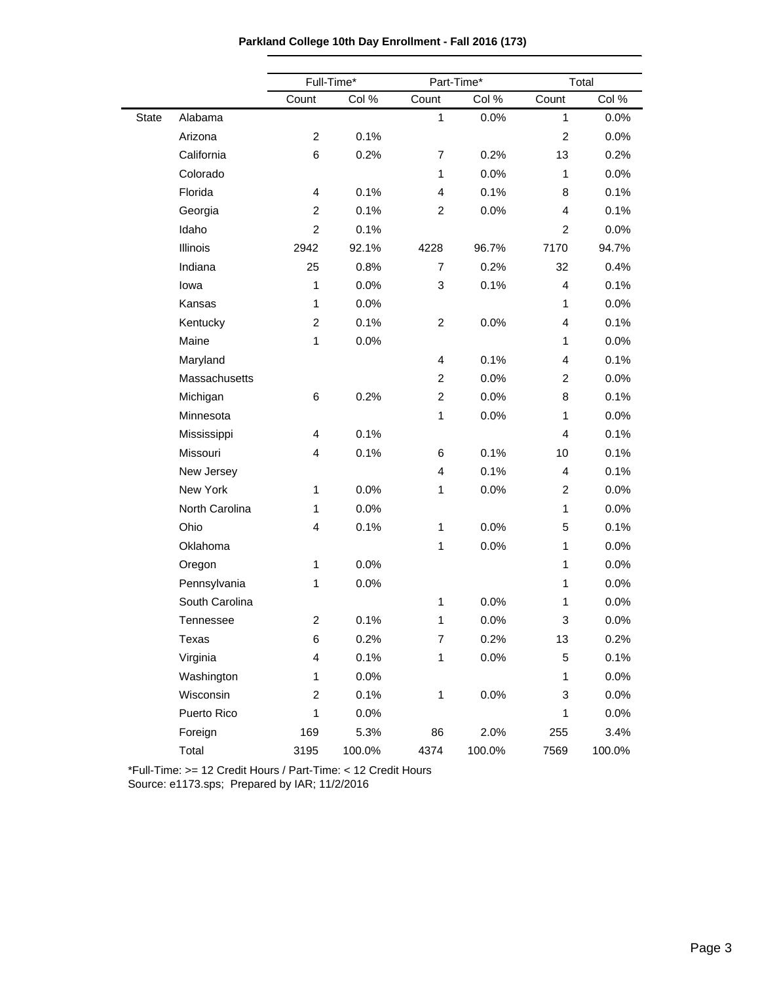| Parkland College 10th Day Enrollment - Fall 2016 (173) |  |  |  |  |
|--------------------------------------------------------|--|--|--|--|
|--------------------------------------------------------|--|--|--|--|

|              |                  | Full-Time*              |        | Part-Time*              |        |                | Total  |
|--------------|------------------|-------------------------|--------|-------------------------|--------|----------------|--------|
|              |                  | Count                   | Col %  | Count                   | Col %  | Count          | Col %  |
| <b>State</b> | Alabama          |                         |        | $\mathbf{1}$            | 0.0%   | $\mathbf{1}$   | 0.0%   |
|              | Arizona          | $\overline{c}$          | 0.1%   |                         |        | $\overline{c}$ | 0.0%   |
|              | California       | 6                       | 0.2%   | 7                       | 0.2%   | 13             | 0.2%   |
|              | Colorado         |                         |        | $\mathbf{1}$            | 0.0%   | $\mathbf{1}$   | 0.0%   |
|              | Florida          | 4                       | 0.1%   | $\overline{4}$          | 0.1%   | 8              | 0.1%   |
|              | Georgia          | $\overline{c}$          | 0.1%   | 2                       | 0.0%   | 4              | 0.1%   |
|              | Idaho            | $\overline{2}$          | 0.1%   |                         |        | $\overline{2}$ | 0.0%   |
|              | Illinois         | 2942                    | 92.1%  | 4228                    | 96.7%  | 7170           | 94.7%  |
|              | Indiana          | 25                      | 0.8%   | $\overline{7}$          | 0.2%   | 32             | 0.4%   |
|              | lowa             | 1                       | 0.0%   | 3                       | 0.1%   | 4              | 0.1%   |
|              | Kansas           | 1                       | 0.0%   |                         |        | 1              | 0.0%   |
|              | Kentucky         | $\overline{c}$          | 0.1%   | $\overline{c}$          | 0.0%   | 4              | 0.1%   |
|              | Maine            | 1                       | 0.0%   |                         |        | $\mathbf{1}$   | 0.0%   |
|              | Maryland         |                         |        | $\overline{\mathbf{4}}$ | 0.1%   | 4              | 0.1%   |
|              | Massachusetts    |                         |        | $\overline{c}$          | 0.0%   | 2              | 0.0%   |
|              | Michigan         | 6                       | 0.2%   | 2                       | 0.0%   | 8              | 0.1%   |
|              | Minnesota        |                         |        | $\mathbf{1}$            | 0.0%   | 1              | 0.0%   |
|              | Mississippi      | 4                       | 0.1%   |                         |        | 4              | 0.1%   |
|              | Missouri         | 4                       | 0.1%   | 6                       | 0.1%   | 10             | 0.1%   |
|              | New Jersey       |                         |        | $\overline{\mathbf{4}}$ | 0.1%   | 4              | 0.1%   |
|              | New York         | 1                       | 0.0%   | $\mathbf{1}$            | 0.0%   | $\overline{2}$ | 0.0%   |
|              | North Carolina   | 1                       | 0.0%   |                         |        | $\mathbf{1}$   | 0.0%   |
|              | Ohio             | 4                       | 0.1%   | $\mathbf{1}$            | 0.0%   | 5              | 0.1%   |
|              | Oklahoma         |                         |        | $\mathbf{1}$            | 0.0%   | 1              | 0.0%   |
|              | Oregon           | 1                       | 0.0%   |                         |        | $\mathbf{1}$   | 0.0%   |
|              | Pennsylvania     | 1                       | 0.0%   |                         |        | $\mathbf{1}$   | 0.0%   |
|              | South Carolina   |                         |        | 1                       | 0.0%   | 1              | 0.0%   |
|              | <b>Tennessee</b> | $\overline{c}$          | 0.1%   | 1                       | 0.0%   | 3              | 0.0%   |
|              | Texas            | 6                       | 0.2%   | $\overline{7}$          | 0.2%   | 13             | 0.2%   |
|              | Virginia         | 4                       | 0.1%   | 1                       | 0.0%   | 5              | 0.1%   |
|              | Washington       | 1                       | 0.0%   |                         |        | 1              | 0.0%   |
|              | Wisconsin        | $\overline{\mathbf{c}}$ | 0.1%   | 1                       | 0.0%   | 3              | 0.0%   |
|              | Puerto Rico      | 1                       | 0.0%   |                         |        | 1              | 0.0%   |
|              | Foreign          | 169                     | 5.3%   | 86                      | 2.0%   | 255            | 3.4%   |
|              | Total            | 3195                    | 100.0% | 4374                    | 100.0% | 7569           | 100.0% |

\*Full-Time: >= 12 Credit Hours / Part-Time: < 12 Credit Hours

Source: e1173.sps; Prepared by IAR; 11/2/2016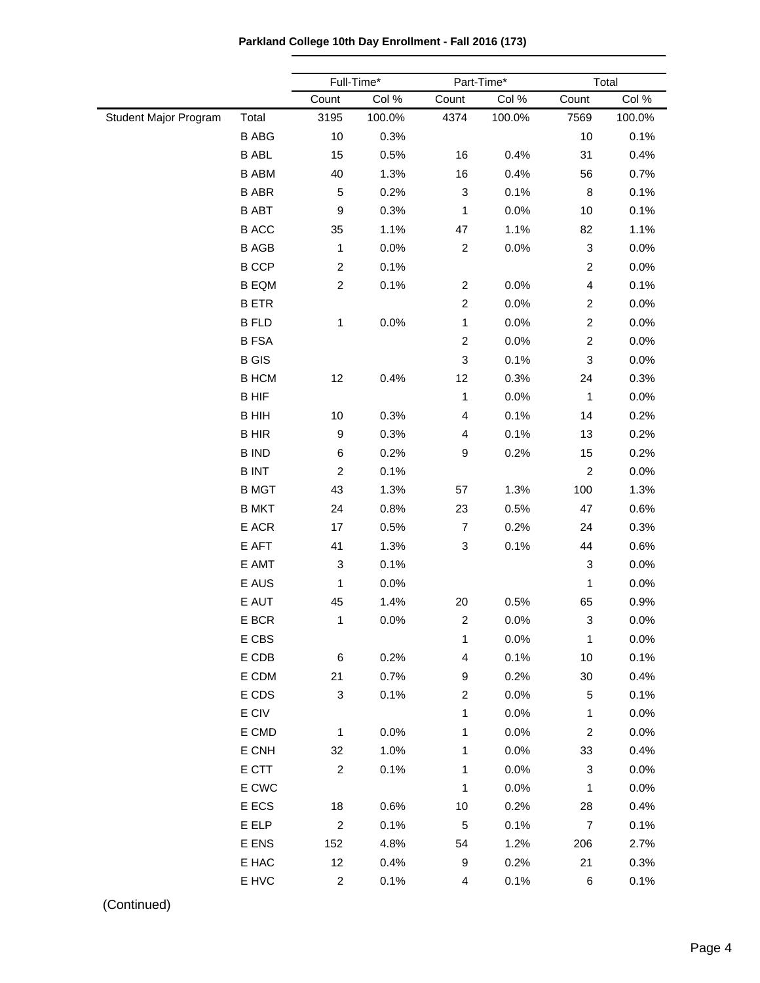**Parkland College 10th Day Enrollment - Fall 2016 (173)**

|                       |                 |                  | Full-Time* |                           | Part-Time* | Total                   |        |  |
|-----------------------|-----------------|------------------|------------|---------------------------|------------|-------------------------|--------|--|
|                       |                 | Count            | Col %      | Count                     | Col %      | Count                   | Col %  |  |
| Student Major Program | Total           | 3195             | 100.0%     | 4374                      | 100.0%     | 7569                    | 100.0% |  |
|                       | <b>B ABG</b>    | 10               | 0.3%       |                           |            | 10                      | 0.1%   |  |
|                       | <b>B ABL</b>    | 15               | 0.5%       | 16                        | 0.4%       | 31                      | 0.4%   |  |
|                       | <b>B ABM</b>    | 40               | 1.3%       | 16                        | 0.4%       | 56                      | 0.7%   |  |
|                       | <b>B ABR</b>    | 5                | 0.2%       | 3                         | 0.1%       | 8                       | 0.1%   |  |
|                       | <b>B ABT</b>    | $\boldsymbol{9}$ | 0.3%       | 1                         | 0.0%       | 10                      | 0.1%   |  |
|                       | <b>B ACC</b>    | 35               | 1.1%       | 47                        | 1.1%       | 82                      | 1.1%   |  |
|                       | <b>B AGB</b>    | 1                | 0.0%       | $\overline{c}$            | 0.0%       | 3                       | 0.0%   |  |
|                       | <b>B CCP</b>    | $\overline{c}$   | 0.1%       |                           |            | $\overline{c}$          | 0.0%   |  |
|                       | <b>B EQM</b>    | $\overline{c}$   | 0.1%       | $\overline{\mathbf{c}}$   | 0.0%       | $\overline{\mathbf{4}}$ | 0.1%   |  |
|                       | <b>BETR</b>     |                  |            | $\boldsymbol{2}$          | 0.0%       | $\overline{c}$          | 0.0%   |  |
|                       | <b>B FLD</b>    | $\mathbf{1}$     | 0.0%       | $\mathbf{1}$              | 0.0%       | $\overline{c}$          | 0.0%   |  |
|                       | <b>BFSA</b>     |                  |            | $\boldsymbol{2}$          | 0.0%       | $\overline{c}$          | 0.0%   |  |
|                       | <b>B</b> GIS    |                  |            | $\ensuremath{\mathsf{3}}$ | 0.1%       | 3                       | 0.0%   |  |
|                       | <b>B HCM</b>    | 12               | 0.4%       | 12                        | 0.3%       | 24                      | 0.3%   |  |
|                       | <b>BHIF</b>     |                  |            | $\mathbf{1}$              | 0.0%       | $\mathbf{1}$            | 0.0%   |  |
|                       | <b>BHIH</b>     | 10               | 0.3%       | $\overline{\mathbf{4}}$   | 0.1%       | 14                      | 0.2%   |  |
|                       | <b>BHIR</b>     | 9                | 0.3%       | $\overline{4}$            | 0.1%       | 13                      | 0.2%   |  |
|                       | <b>B IND</b>    | 6                | 0.2%       | 9                         | 0.2%       | 15                      | 0.2%   |  |
|                       | <b>BINT</b>     | $\overline{c}$   | 0.1%       |                           |            | $\boldsymbol{2}$        | 0.0%   |  |
|                       | <b>B MGT</b>    | 43               | 1.3%       | 57                        | 1.3%       | 100                     | 1.3%   |  |
|                       | <b>B MKT</b>    | 24               | 0.8%       | 23                        | 0.5%       | 47                      | 0.6%   |  |
|                       | E ACR           | 17               | 0.5%       | $\overline{7}$            | 0.2%       | 24                      | 0.3%   |  |
|                       | E AFT           | 41               | 1.3%       | $\ensuremath{\mathsf{3}}$ | 0.1%       | 44                      | 0.6%   |  |
|                       | E AMT           | 3                | 0.1%       |                           |            | 3                       | 0.0%   |  |
|                       | E AUS           | 1                | 0.0%       |                           |            | $\mathbf{1}$            | 0.0%   |  |
|                       | E AUT           | 45               | 1.4%       | 20                        | 0.5%       | 65                      | 0.9%   |  |
|                       | E BCR           | 1                | 0.0%       | $\boldsymbol{2}$          | 0.0%       | 3                       | 0.0%   |  |
|                       | E CBS           |                  |            | $\mathbf{1}$              | 0.0%       | $\mathbf{1}$            | 0.0%   |  |
|                       | E CDB           | $\,6\,$          | 0.2%       | $\overline{\mathbf{4}}$   | 0.1%       | $10$                    | 0.1%   |  |
|                       | E CDM           | 21               | 0.7%       | 9                         | 0.2%       | $30\,$                  | 0.4%   |  |
|                       | E CDS           | $\mathbf{3}$     | 0.1%       | $\boldsymbol{2}$          | 0.0%       | $\mathbf 5$             | 0.1%   |  |
|                       | $\mathsf E$ CIV |                  |            | $\mathbf{1}$              | 0.0%       | 1                       | 0.0%   |  |
|                       | E CMD           | $\mathbf{1}$     | 0.0%       | $\mathbf{1}$              | 0.0%       | $\overline{c}$          | 0.0%   |  |
|                       | E CNH           | 32               | 1.0%       | $\mathbf{1}$              | 0.0%       | 33                      | 0.4%   |  |
|                       | E CTT           | $\overline{2}$   | 0.1%       | $\mathbf{1}$              | 0.0%       | 3                       | 0.0%   |  |
|                       | E CWC           |                  |            | $\mathbf{1}$              | 0.0%       | $\mathbf{1}$            | 0.0%   |  |
|                       | E ECS           | 18               | 0.6%       | $10$                      | 0.2%       | 28                      | 0.4%   |  |
|                       | E ELP           | $\boldsymbol{2}$ | 0.1%       | $\mathbf 5$               | 0.1%       | $\overline{7}$          | 0.1%   |  |
|                       | E ENS           | 152              | 4.8%       | 54                        | 1.2%       | 206                     | 2.7%   |  |
|                       | E HAC           | 12               | 0.4%       | 9                         | 0.2%       | 21                      | 0.3%   |  |
|                       | E HVC           | $\overline{c}$   | 0.1%       | $\overline{4}$            | 0.1%       | 6                       | 0.1%   |  |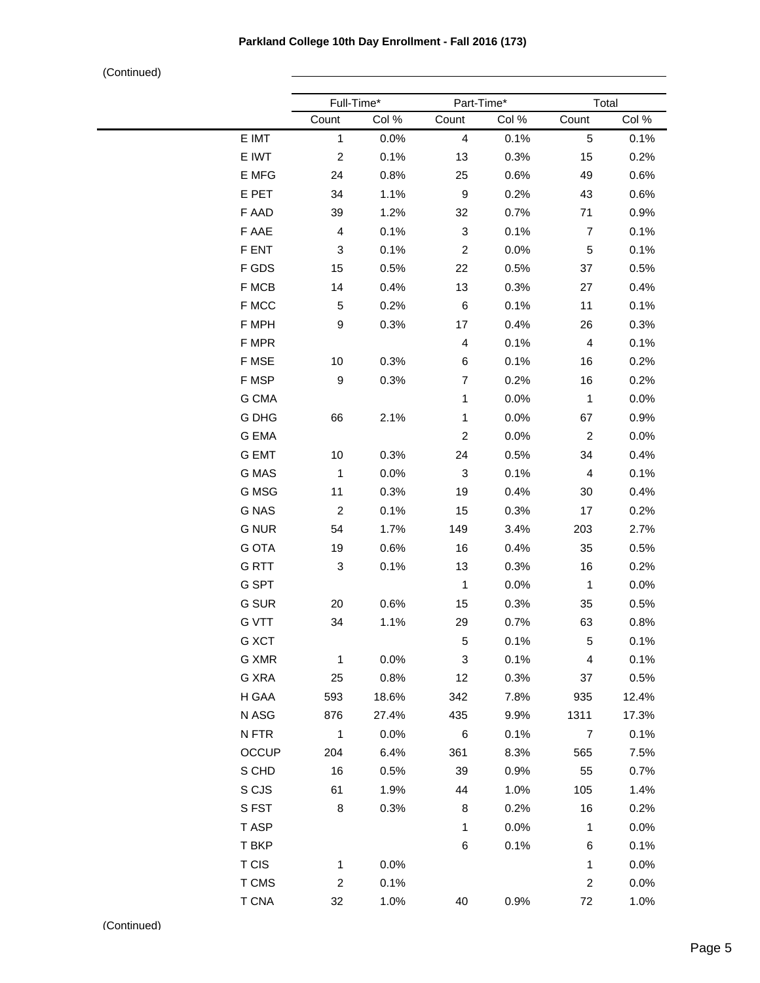|              | Full-Time*     |       | Part-Time*       |       | Total          |       |
|--------------|----------------|-------|------------------|-------|----------------|-------|
|              | Count          | Col % | Count            | Col % | Count          | Col % |
| E IMT        | $\mathbf{1}$   | 0.0%  | $\overline{4}$   | 0.1%  | 5              | 0.1%  |
| E IWT        | $\overline{c}$ | 0.1%  | 13               | 0.3%  | 15             | 0.2%  |
| E MFG        | 24             | 0.8%  | 25               | 0.6%  | 49             | 0.6%  |
| E PET        | 34             | 1.1%  | $\boldsymbol{9}$ | 0.2%  | 43             | 0.6%  |
| F AAD        | 39             | 1.2%  | 32               | 0.7%  | 71             | 0.9%  |
| F AAE        | 4              | 0.1%  | 3                | 0.1%  | $\overline{7}$ | 0.1%  |
| F ENT        | 3              | 0.1%  | $\overline{c}$   | 0.0%  | 5              | 0.1%  |
| F GDS        | 15             | 0.5%  | 22               | 0.5%  | 37             | 0.5%  |
| F MCB        | 14             | 0.4%  | 13               | 0.3%  | 27             | 0.4%  |
| F MCC        | 5              | 0.2%  | 6                | 0.1%  | 11             | 0.1%  |
| F MPH        | 9              | 0.3%  | 17               | 0.4%  | 26             | 0.3%  |
| F MPR        |                |       | 4                | 0.1%  | $\overline{4}$ | 0.1%  |
| F MSE        | 10             | 0.3%  | 6                | 0.1%  | 16             | 0.2%  |
| F MSP        | 9              | 0.3%  | $\overline{7}$   | 0.2%  | 16             | 0.2%  |
| G CMA        |                |       | 1                | 0.0%  | $\mathbf{1}$   | 0.0%  |
| G DHG        | 66             | 2.1%  | 1                | 0.0%  | 67             | 0.9%  |
| <b>G EMA</b> |                |       | $\overline{c}$   | 0.0%  | $\overline{c}$ | 0.0%  |
| <b>G EMT</b> | 10             | 0.3%  | 24               | 0.5%  | 34             | 0.4%  |
| G MAS        | $\mathbf{1}$   | 0.0%  | 3                | 0.1%  | 4              | 0.1%  |
| G MSG        | 11             | 0.3%  | 19               | 0.4%  | 30             | 0.4%  |
| <b>G NAS</b> | $\overline{c}$ | 0.1%  | 15               | 0.3%  | 17             | 0.2%  |
| <b>G NUR</b> | 54             | 1.7%  | 149              | 3.4%  | 203            | 2.7%  |
| <b>G OTA</b> | 19             | 0.6%  | 16               | 0.4%  | 35             | 0.5%  |
| <b>GRTT</b>  | 3              | 0.1%  | 13               | 0.3%  | 16             | 0.2%  |
| G SPT        |                |       | 1                | 0.0%  | 1              | 0.0%  |
| G SUR        | 20             | 0.6%  | 15               | 0.3%  | 35             | 0.5%  |
| <b>G VTT</b> | 34             | 1.1%  | 29               | 0.7%  | 63             | 0.8%  |
| G XCT        |                |       | $\sqrt{5}$       | 0.1%  | 5              | 0.1%  |
| G XMR        | $\mathbf{1}$   | 0.0%  | 3                | 0.1%  | 4              | 0.1%  |
| G XRA        | 25             | 0.8%  | 12               | 0.3%  | 37             | 0.5%  |
| H GAA        | 593            | 18.6% | 342              | 7.8%  | 935            | 12.4% |
| N ASG        | 876            | 27.4% | 435              | 9.9%  | 1311           | 17.3% |
| N FTR        | $\mathbf{1}$   | 0.0%  | 6                | 0.1%  | $\overline{7}$ | 0.1%  |
| <b>OCCUP</b> | 204            | 6.4%  | 361              | 8.3%  | 565            | 7.5%  |
| S CHD        | 16             | 0.5%  | 39               | 0.9%  | 55             | 0.7%  |
| S CJS        | 61             | 1.9%  | 44               | 1.0%  | 105            | 1.4%  |
| SFST         | 8              | 0.3%  | 8                | 0.2%  | 16             | 0.2%  |
| T ASP        |                |       | $\mathbf{1}$     | 0.0%  | $\mathbf{1}$   | 0.0%  |
| T BKP        |                |       | 6                | 0.1%  | 6              | 0.1%  |
| <b>TCIS</b>  | $\mathbf{1}$   | 0.0%  |                  |       | $\mathbf{1}$   | 0.0%  |
| T CMS        | $\overline{c}$ | 0.1%  |                  |       | $\overline{c}$ | 0.0%  |
| T CNA        | 32             | 1.0%  | 40               | 0.9%  | 72             | 1.0%  |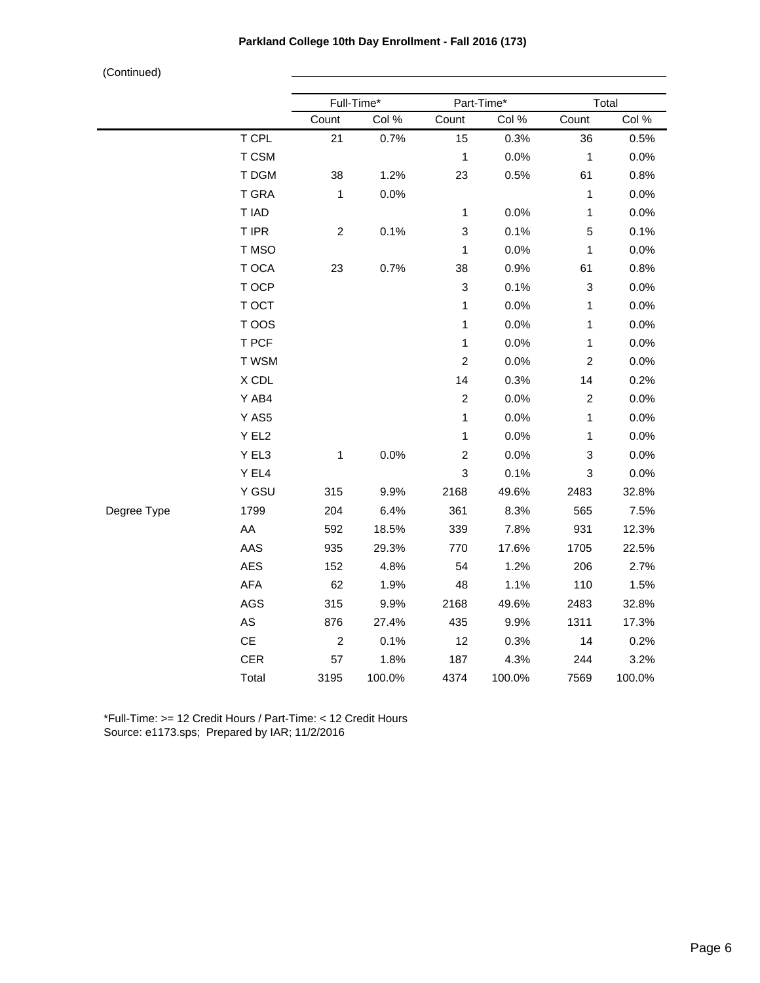|             |                 |                  | Full-Time* |                           | Part-Time* |                           | Total  |  |
|-------------|-----------------|------------------|------------|---------------------------|------------|---------------------------|--------|--|
|             |                 | Count            | Col %      | Count                     | Col %      | Count                     | Col %  |  |
|             | T CPL           | 21               | 0.7%       | 15                        | 0.3%       | 36                        | 0.5%   |  |
|             | T CSM           |                  |            | 1                         | 0.0%       | 1                         | 0.0%   |  |
|             | T DGM           | 38               | 1.2%       | 23                        | 0.5%       | 61                        | 0.8%   |  |
|             | <b>T GRA</b>    | $\mathbf{1}$     | 0.0%       |                           |            | $\mathbf 1$               | 0.0%   |  |
|             | T IAD           |                  |            | $\mathbf 1$               | 0.0%       | $\mathbf 1$               | 0.0%   |  |
|             | T IPR           | $\overline{c}$   | 0.1%       | 3                         | 0.1%       | 5                         | 0.1%   |  |
|             | T MSO           |                  |            | 1                         | 0.0%       | 1                         | 0.0%   |  |
|             | T OCA           | 23               | 0.7%       | 38                        | 0.9%       | 61                        | 0.8%   |  |
|             | T OCP           |                  |            | $\ensuremath{\mathsf{3}}$ | 0.1%       | $\ensuremath{\mathsf{3}}$ | 0.0%   |  |
|             | T OCT           |                  |            | 1                         | 0.0%       | 1                         | 0.0%   |  |
|             | T OOS           |                  |            | $\mathbf 1$               | 0.0%       | 1                         | 0.0%   |  |
|             | T PCF           |                  |            | $\mathbf{1}$              | 0.0%       | $\mathbf{1}$              | 0.0%   |  |
|             | T WSM           |                  |            | $\overline{c}$            | 0.0%       | $\overline{c}$            | 0.0%   |  |
|             | X CDL           |                  |            | 14                        | 0.3%       | 14                        | 0.2%   |  |
|             | Y AB4           |                  |            | $\boldsymbol{2}$          | 0.0%       | $\boldsymbol{2}$          | 0.0%   |  |
|             | Y AS5           |                  |            | 1                         | 0.0%       | 1                         | 0.0%   |  |
|             | Y EL2           |                  |            | 1                         | 0.0%       | $\mathbf 1$               | 0.0%   |  |
|             | Y EL3           | 1                | 0.0%       | $\overline{c}$            | 0.0%       | 3                         | 0.0%   |  |
|             | Y EL4           |                  |            | 3                         | 0.1%       | 3                         | 0.0%   |  |
|             | Y GSU           | 315              | 9.9%       | 2168                      | 49.6%      | 2483                      | 32.8%  |  |
| Degree Type | 1799            | 204              | 6.4%       | 361                       | 8.3%       | 565                       | 7.5%   |  |
|             | AA              | 592              | 18.5%      | 339                       | 7.8%       | 931                       | 12.3%  |  |
|             | AAS             | 935              | 29.3%      | 770                       | 17.6%      | 1705                      | 22.5%  |  |
|             | <b>AES</b>      | 152              | 4.8%       | 54                        | 1.2%       | 206                       | 2.7%   |  |
|             | AFA             | 62               | 1.9%       | 48                        | 1.1%       | 110                       | 1.5%   |  |
|             | AGS             | 315              | 9.9%       | 2168                      | 49.6%      | 2483                      | 32.8%  |  |
|             | AS              | 876              | 27.4%      | 435                       | 9.9%       | 1311                      | 17.3%  |  |
|             | $\mathsf{CE}\,$ | $\boldsymbol{2}$ | 0.1%       | 12                        | 0.3%       | 14                        | 0.2%   |  |
|             | <b>CER</b>      | 57               | 1.8%       | 187                       | 4.3%       | 244                       | 3.2%   |  |
|             | Total           | 3195             | 100.0%     | 4374                      | 100.0%     | 7569                      | 100.0% |  |

\*Full-Time: >= 12 Credit Hours / Part-Time: < 12 Credit Hours Source: e1173.sps; Prepared by IAR; 11/2/2016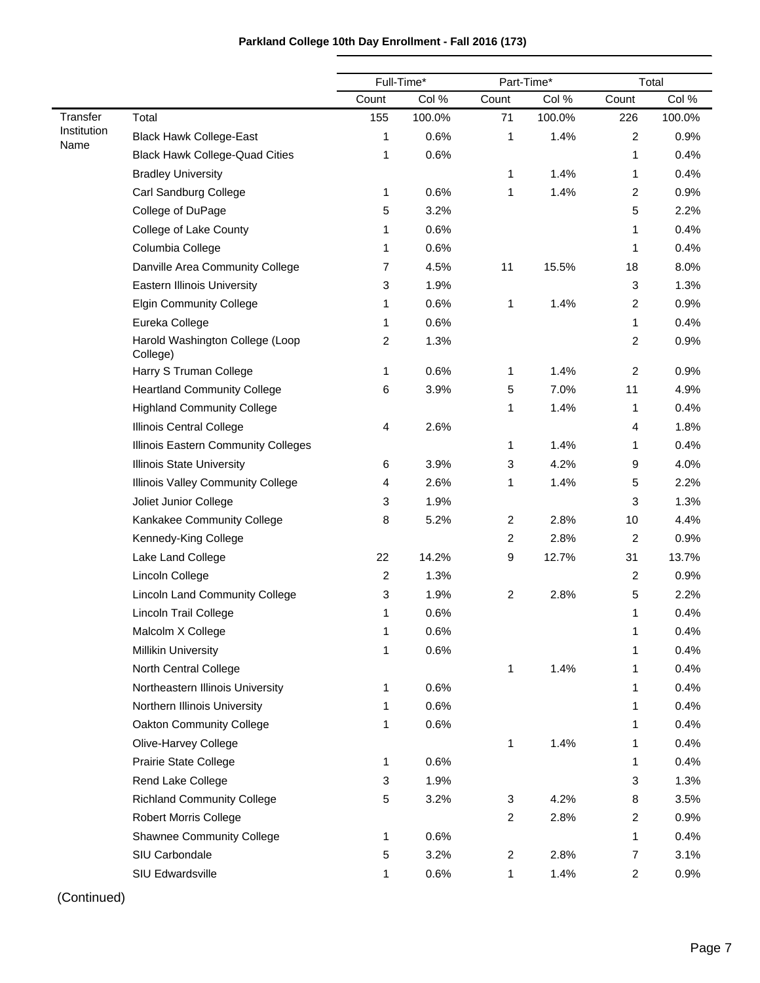|                     |                                             |                | Full-Time* |                | Part-Time* | Total          |        |
|---------------------|---------------------------------------------|----------------|------------|----------------|------------|----------------|--------|
|                     |                                             | Count          | Col %      | Count          | Col %      | Count          | Col %  |
| Transfer            | Total                                       | 155            | 100.0%     | 71             | 100.0%     | 226            | 100.0% |
| Institution<br>Name | <b>Black Hawk College-East</b>              | 1              | 0.6%       | 1              | 1.4%       | 2              | 0.9%   |
|                     | <b>Black Hawk College-Quad Cities</b>       | 1              | 0.6%       |                |            | 1              | 0.4%   |
|                     | <b>Bradley University</b>                   |                |            | 1              | 1.4%       | 1              | 0.4%   |
|                     | Carl Sandburg College                       | 1              | 0.6%       | 1              | 1.4%       | 2              | 0.9%   |
|                     | College of DuPage                           | 5              | 3.2%       |                |            | 5              | 2.2%   |
|                     | College of Lake County                      | 1              | 0.6%       |                |            | 1              | 0.4%   |
|                     | Columbia College                            | 1              | 0.6%       |                |            | 1              | 0.4%   |
|                     | Danville Area Community College             | 7              | 4.5%       | 11             | 15.5%      | 18             | 8.0%   |
|                     | <b>Eastern Illinois University</b>          | 3              | 1.9%       |                |            | 3              | 1.3%   |
|                     | <b>Elgin Community College</b>              | 1              | 0.6%       | 1              | 1.4%       | $\overline{c}$ | 0.9%   |
|                     | Eureka College                              | 1              | 0.6%       |                |            | 1              | 0.4%   |
|                     | Harold Washington College (Loop<br>College) | 2              | 1.3%       |                |            | $\overline{c}$ | 0.9%   |
|                     | Harry S Truman College                      | 1              | 0.6%       | 1              | 1.4%       | $\overline{c}$ | 0.9%   |
|                     | <b>Heartland Community College</b>          | 6              | 3.9%       | 5              | 7.0%       | 11             | 4.9%   |
|                     | <b>Highland Community College</b>           |                |            | 1              | 1.4%       | 1              | 0.4%   |
|                     | Illinois Central College                    | 4              | 2.6%       |                |            | 4              | 1.8%   |
|                     | Illinois Eastern Community Colleges         |                |            | 1              | 1.4%       | 1              | 0.4%   |
|                     | <b>Illinois State University</b>            | 6              | 3.9%       | 3              | 4.2%       | 9              | 4.0%   |
|                     | Illinois Valley Community College           | 4              | 2.6%       | 1              | 1.4%       | 5              | 2.2%   |
|                     | Joliet Junior College                       | 3              | 1.9%       |                |            | 3              | 1.3%   |
|                     | Kankakee Community College                  | 8              | 5.2%       | $\overline{c}$ | 2.8%       | 10             | 4.4%   |
|                     | Kennedy-King College                        |                |            | $\overline{c}$ | 2.8%       | $\overline{c}$ | 0.9%   |
|                     | Lake Land College                           | 22             | 14.2%      | 9              | 12.7%      | 31             | 13.7%  |
|                     | Lincoln College                             | $\overline{c}$ | 1.3%       |                |            | 2              | 0.9%   |
|                     | <b>Lincoln Land Community College</b>       | 3              | 1.9%       | $\overline{c}$ | 2.8%       | 5              | 2.2%   |
|                     | Lincoln Trail College                       | 1              | 0.6%       |                |            | 1              | 0.4%   |
|                     | Malcolm X College                           | 1              | 0.6%       |                |            | 1              | 0.4%   |
|                     | <b>Millikin University</b>                  | 1              | 0.6%       |                |            | 1              | 0.4%   |
|                     | North Central College                       |                |            | 1              | 1.4%       | 1              | 0.4%   |
|                     | Northeastern Illinois University            | 1              | 0.6%       |                |            | 1              | 0.4%   |
|                     | Northern Illinois University                | 1              | 0.6%       |                |            | 1              | 0.4%   |
|                     | Oakton Community College                    | 1              | 0.6%       |                |            | 1              | 0.4%   |
|                     | Olive-Harvey College                        |                |            | 1              | 1.4%       | $\mathbf 1$    | 0.4%   |
|                     | <b>Prairie State College</b>                | 1              | 0.6%       |                |            | 1              | 0.4%   |
|                     | Rend Lake College                           | 3              | 1.9%       |                |            | 3              | 1.3%   |
|                     | <b>Richland Community College</b>           | 5              | 3.2%       | 3              | 4.2%       | 8              | 3.5%   |
|                     | <b>Robert Morris College</b>                |                |            | $\overline{c}$ | 2.8%       | 2              | 0.9%   |
|                     | <b>Shawnee Community College</b>            | 1              | 0.6%       |                |            | 1              | 0.4%   |
|                     | SIU Carbondale                              | 5              | 3.2%       | $\overline{c}$ | 2.8%       | 7              | 3.1%   |
|                     | SIU Edwardsville                            | 1              | 0.6%       | $\mathbf 1$    | 1.4%       | $\overline{c}$ | 0.9%   |